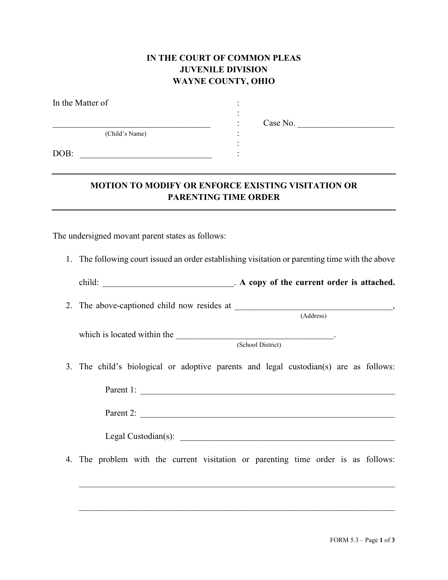## **IN THE COURT OF COMMON PLEAS JUVENILE DIVISION WAYNE COUNTY, OHIO**

| In the Matter of |           |
|------------------|-----------|
|                  | Case No.  |
| (Child's Name)   | $\bullet$ |
|                  |           |
| DOB:             |           |
|                  |           |
|                  |           |

## **MOTION TO MODIFY OR ENFORCE EXISTING VISITATION OR PARENTING TIME ORDER**

The undersigned movant parent states as follows:

1. The following court issued an order establishing visitation or parenting time with the above

| child: | . A copy of the current order is attached. |
|--------|--------------------------------------------|
|--------|--------------------------------------------|

2. The above-captioned child now resides at \_\_\_\_\_\_\_\_\_\_\_\_\_\_\_\_\_\_\_\_\_\_\_\_\_\_\_\_\_\_\_\_\_\_\_\_,

which is located within the \_\_\_\_\_\_\_\_\_\_\_\_\_\_\_\_\_\_\_\_\_\_\_\_\_\_\_\_\_\_\_\_\_\_\_\_.

(School District)

(Address)

3. The child's biological or adoptive parents and legal custodian(s) are as follows:

| Parent 1: |  |  |  |
|-----------|--|--|--|
|           |  |  |  |
| Parent 2: |  |  |  |

Legal Custodian(s): \_\_\_\_\_\_\_\_\_\_\_\_\_\_\_\_\_\_\_\_\_\_\_\_\_\_\_\_\_\_\_\_\_\_\_\_\_\_\_\_\_\_\_\_\_\_\_\_\_

4. The problem with the current visitation or parenting time order is as follows:

 $\_$  , and the set of the set of the set of the set of the set of the set of the set of the set of the set of the set of the set of the set of the set of the set of the set of the set of the set of the set of the set of th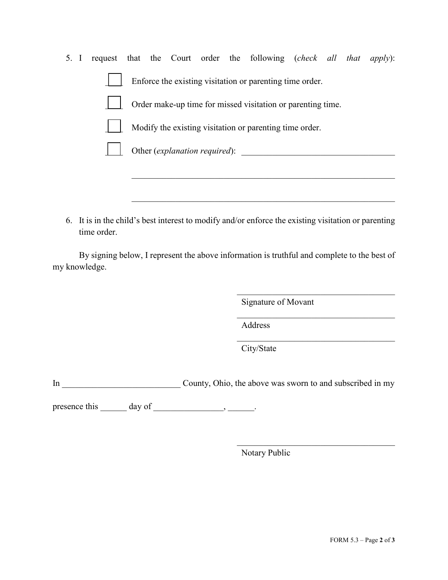- 5. I request that the Court order the following (*check all that apply*): Enforce the existing visitation or parenting time order. Order make-up time for missed visitation or parenting time. Modify the existing visitation or parenting time order. Other (*explanation required*): \_\_\_\_\_\_\_\_\_\_\_\_\_\_\_\_\_\_\_\_\_\_\_\_\_\_\_\_\_\_\_\_\_\_\_\_\_\_\_\_\_\_\_\_\_\_\_\_\_\_\_\_\_\_\_\_\_\_\_\_
- 6. It is in the child's best interest to modify and/or enforce the existing visitation or parenting time order.

By signing below, I represent the above information is truthful and complete to the best of my knowledge.

Signature of Movant

 $\mathcal{L}_\mathcal{L}$ 

 $\mathcal{L}_\mathcal{L}$ 

Address

\_\_\_\_\_\_\_\_\_\_\_\_\_\_\_\_\_\_\_\_\_\_\_\_\_\_\_\_\_\_\_\_\_\_\_\_\_\_\_\_\_\_\_\_\_\_\_\_\_\_\_\_\_\_\_\_\_\_\_\_

City/State

In County, Ohio, the above was sworn to and subscribed in my

presence this day of the second service  $\sim$ 

Notary Public